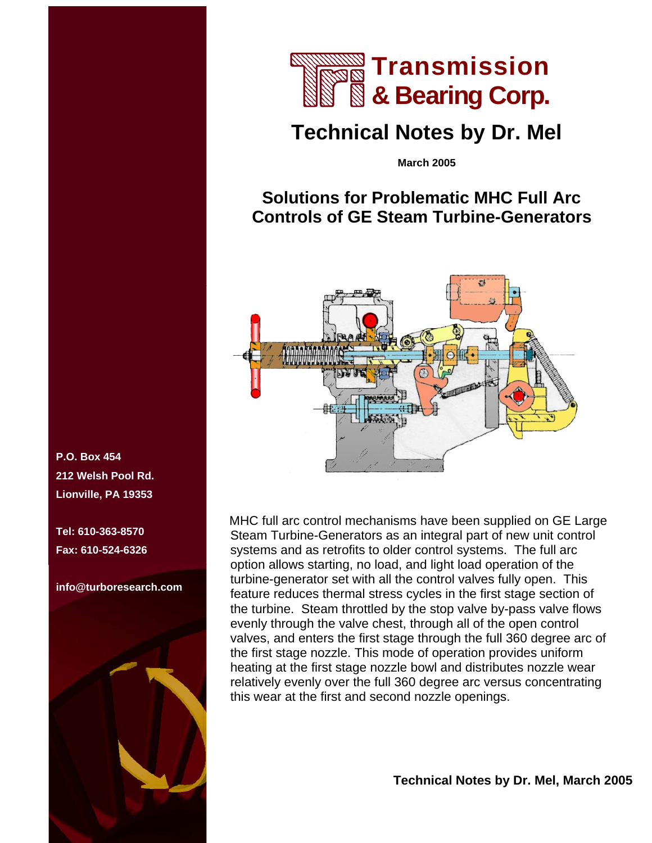

## **Technical Notes by Dr. Mel**

**March 2005** 

## **Solutions for Problematic MHC Full Arc Controls of GE Steam Turbine-Generators**



MHC full arc control mechanisms have been supplied on GE Large Steam Turbine-Generators as an integral part of new unit control systems and as retrofits to older control systems. The full arc option allows starting, no load, and light load operation of the turbine-generator set with all the control valves fully open. This feature reduces thermal stress cycles in the first stage section of the turbine. Steam throttled by the stop valve by-pass valve flows evenly through the valve chest, through all of the open control valves, and enters the first stage through the full 360 degree arc of the first stage nozzle. This mode of operation provides uniform heating at the first stage nozzle bowl and distributes nozzle wear relatively evenly over the full 360 degree arc versus concentrating this wear at the first and second nozzle openings.

**P.O. Box 454 212 Welsh Pool Rd. Lionville, PA 19353** 

**Tel: 610-363-8570 Fax: 610-524-6326** 

**info@turboresearch.com**